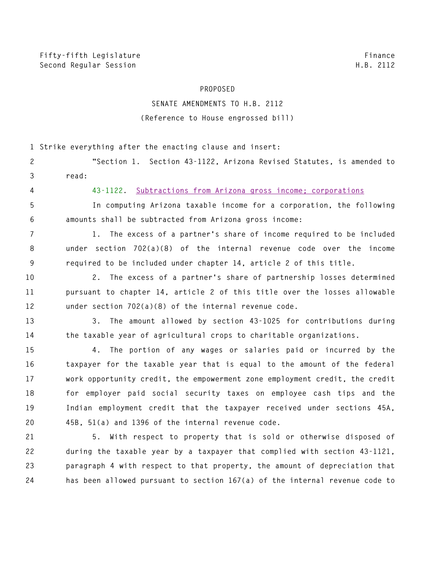## **PROPOSED**

## **SENATE AMENDMENTS TO H.B. 2112 (Reference to House engrossed bill)**

**1 Strike everything after the enacting clause and insert:** 

|       |  |  |  | "Section 1. Section 43-1122, Arizona Revised Statutes, is amended to |  |  |
|-------|--|--|--|----------------------------------------------------------------------|--|--|
| read: |  |  |  |                                                                      |  |  |

**4 43-1122. Subtractions from Arizona gross income; corporations**

**5 In computing Arizona taxable income for a corporation, the following 6 amounts shall be subtracted from Arizona gross income:** 

**7 1. The excess of a partner's share of income required to be included 8 under section 702(a)(8) of the internal revenue code over the income 9 required to be included under chapter 14, article 2 of this title.** 

**10 2. The excess of a partner's share of partnership losses determined 11 pursuant to chapter 14, article 2 of this title over the losses allowable 12 under section 702(a)(8) of the internal revenue code.** 

**13 3. The amount allowed by section 43-1025 for contributions during 14 the taxable year of agricultural crops to charitable organizations.** 

**15 4. The portion of any wages or salaries paid or incurred by the 16 taxpayer for the taxable year that is equal to the amount of the federal 17 work opportunity credit, the empowerment zone employment credit, the credit 18 for employer paid social security taxes on employee cash tips and the 19 Indian employment credit that the taxpayer received under sections 45A, 20 45B, 51(a) and 1396 of the internal revenue code.** 

**21 5. With respect to property that is sold or otherwise disposed of 22 during the taxable year by a taxpayer that complied with section 43-1121, 23 paragraph 4 with respect to that property, the amount of depreciation that 24 has been allowed pursuant to section 167(a) of the internal revenue code to**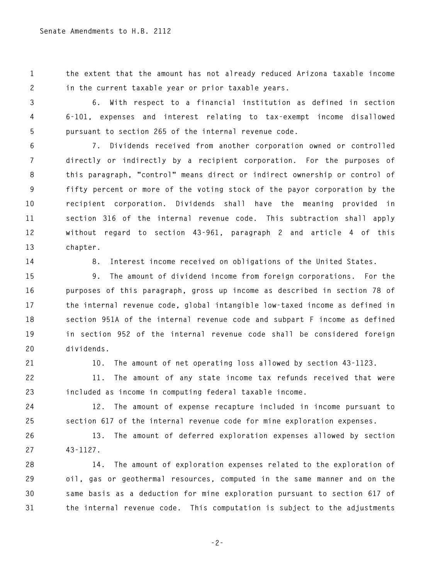**1 the extent that the amount has not already reduced Arizona taxable income 2 in the current taxable year or prior taxable years.** 

**3 6. With respect to a financial institution as defined in section 4 6-101, expenses and interest relating to tax-exempt income disallowed 5 pursuant to section 265 of the internal revenue code.** 

**6 7. Dividends received from another corporation owned or controlled 7 directly or indirectly by a recipient corporation. For the purposes of 8 this paragraph, "control" means direct or indirect ownership or control of 9 fifty percent or more of the voting stock of the payor corporation by the 10 recipient corporation. Dividends shall have the meaning provided in 11 section 316 of the internal revenue code. This subtraction shall apply 12 without regard to section 43-961, paragraph 2 and article 4 of this 13 chapter.** 

**14 8. Interest income received on obligations of the United States.** 

**15 9. The amount of dividend income from foreign corporations. For the 16 purposes of this paragraph, gross up income as described in section 78 of 17 the internal revenue code, global intangible low-taxed income as defined in 18 section 951A of the internal revenue code and subpart F income as defined 19 in section 952 of the internal revenue code shall be considered foreign 20 dividends.** 

**21 10. The amount of net operating loss allowed by section 43-1123.** 

**22 11. The amount of any state income tax refunds received that were 23 included as income in computing federal taxable income.** 

**24 12. The amount of expense recapture included in income pursuant to 25 section 617 of the internal revenue code for mine exploration expenses.** 

**26 13. The amount of deferred exploration expenses allowed by section 27 43-1127.** 

**28 14. The amount of exploration expenses related to the exploration of 29 oil, gas or geothermal resources, computed in the same manner and on the 30 same basis as a deduction for mine exploration pursuant to section 617 of 31 the internal revenue code. This computation is subject to the adjustments** 

**-2-**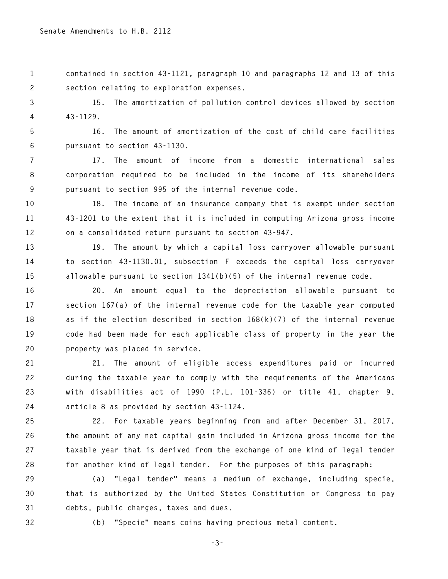**1 contained in section 43-1121, paragraph 10 and paragraphs 12 and 13 of this 2 section relating to exploration expenses.** 

**3 15. The amortization of pollution control devices allowed by section 4 43-1129.** 

**5 16. The amount of amortization of the cost of child care facilities 6 pursuant to section 43-1130.** 

**7 17. The amount of income from a domestic international sales 8 corporation required to be included in the income of its shareholders 9 pursuant to section 995 of the internal revenue code.** 

**10 18. The income of an insurance company that is exempt under section 11 43-1201 to the extent that it is included in computing Arizona gross income 12 on a consolidated return pursuant to section 43-947.** 

**13 19. The amount by which a capital loss carryover allowable pursuant 14 to section 43-1130.01, subsection F exceeds the capital loss carryover 15 allowable pursuant to section 1341(b)(5) of the internal revenue code.** 

**16 20. An amount equal to the depreciation allowable pursuant to 17 section 167(a) of the internal revenue code for the taxable year computed 18 as if the election described in section 168(k)(7) of the internal revenue 19 code had been made for each applicable class of property in the year the 20 property was placed in service.** 

**21 21. The amount of eligible access expenditures paid or incurred 22 during the taxable year to comply with the requirements of the Americans 23 with disabilities act of 1990 (P.L. 101-336) or title 41, chapter 9, 24 article 8 as provided by section 43-1124.** 

**25 22. For taxable years beginning from and after December 31, 2017, 26 the amount of any net capital gain included in Arizona gross income for the 27 taxable year that is derived from the exchange of one kind of legal tender 28 for another kind of legal tender. For the purposes of this paragraph:** 

**29 (a) "Legal tender" means a medium of exchange, including specie, 30 that is authorized by the United States Constitution or Congress to pay 31 debts, public charges, taxes and dues.** 

**32 (b) "Specie" means coins having precious metal content.**